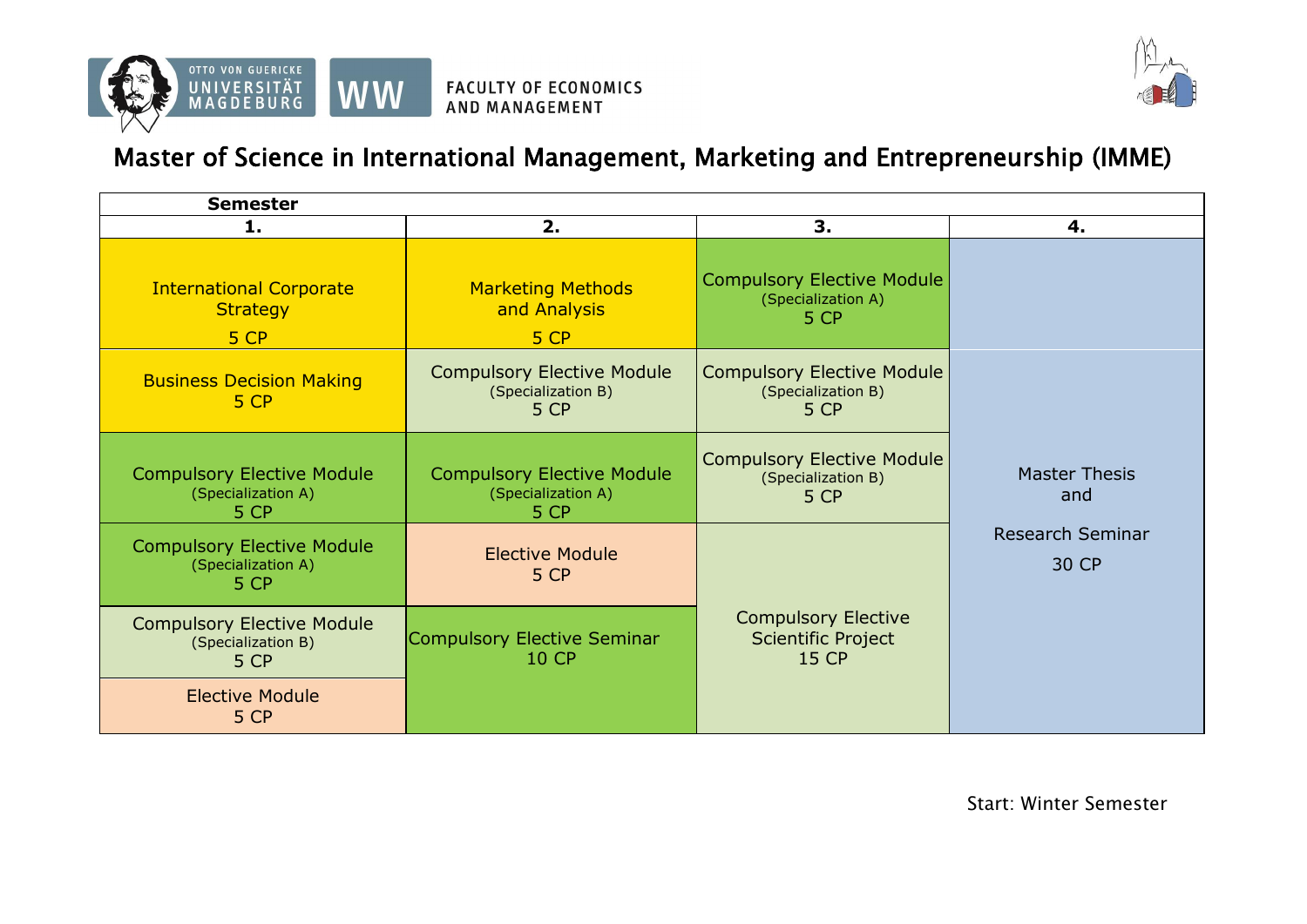



## Master of Science in International Management, Marketing and Entrepreneurship (IMME)

| <b>Semester</b>                                                 |                                                                 |                                                                         |                                  |
|-----------------------------------------------------------------|-----------------------------------------------------------------|-------------------------------------------------------------------------|----------------------------------|
| 1.                                                              | 2.                                                              | 3.                                                                      | 4.                               |
| <b>International Corporate</b><br><b>Strategy</b><br>5 CP       | <b>Marketing Methods</b><br>and Analysis<br>5 CP                | <b>Compulsory Elective Module</b><br>(Specialization A)<br>5 CP         |                                  |
| <b>Business Decision Making</b><br>5 CP                         | <b>Compulsory Elective Module</b><br>(Specialization B)<br>5 CP | <b>Compulsory Elective Module</b><br>(Specialization B)<br>5 CP         |                                  |
| <b>Compulsory Elective Module</b><br>(Specialization A)<br>5 CP | <b>Compulsory Elective Module</b><br>(Specialization A)<br>5 CP | <b>Compulsory Elective Module</b><br>(Specialization B)<br>5 CP         | <b>Master Thesis</b><br>and      |
| <b>Compulsory Elective Module</b><br>(Specialization A)<br>5 CP | <b>Elective Module</b><br>5 CP                                  |                                                                         | <b>Research Seminar</b><br>30 CP |
| <b>Compulsory Elective Module</b><br>(Specialization B)<br>5 CP | Compulsory Elective Seminar<br><b>10 CP</b>                     | <b>Compulsory Elective</b><br><b>Scientific Project</b><br><b>15 CP</b> |                                  |
| <b>Elective Module</b><br>5 CP                                  |                                                                 |                                                                         |                                  |

Start: Winter Semester